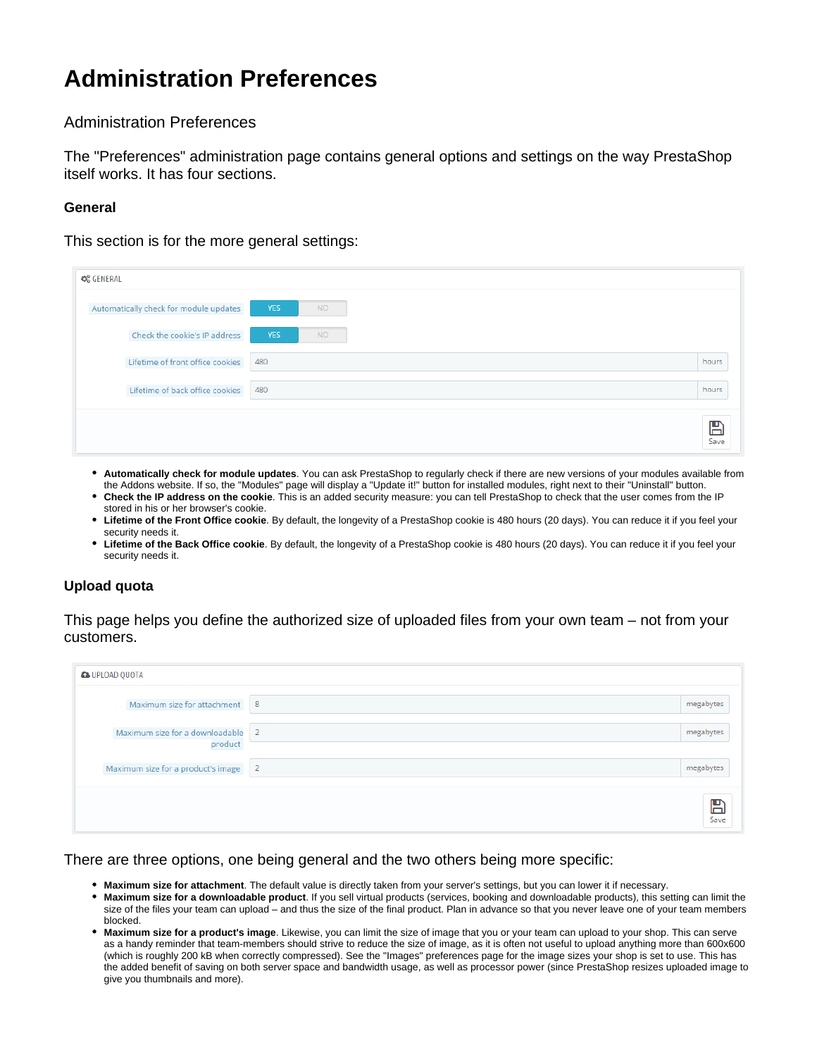# **Administration Preferences**

Administration Preferences

The "Preferences" administration page contains general options and settings on the way PrestaShop itself works. It has four sections.

### **General**

This section is for the more general settings:

| <b>C</b> & GENERAL                     |                         |                      |
|----------------------------------------|-------------------------|----------------------|
| Automatically check for module updates | <b>YES</b><br><b>NO</b> |                      |
| Check the cookie's IP address          | <b>YES</b><br><b>NO</b> |                      |
| Lifetime of front office cookies       | 480                     | hours                |
| Lifetime of back office cookies        | 480                     | hours                |
|                                        |                         | $\sum_{\text{Save}}$ |

- **Automatically check for module updates**. You can ask PrestaShop to regularly check if there are new versions of your modules available from the Addons website. If so, the "Modules" page will display a "Update it!" button for installed modules, right next to their "Uninstall" button.
- **Check the IP address on the cookie**. This is an added security measure: you can tell PrestaShop to check that the user comes from the IP stored in his or her browser's cookie.
- **Lifetime of the Front Office cookie**. By default, the longevity of a PrestaShop cookie is 480 hours (20 days). You can reduce it if you feel your security needs it.
- **Lifetime of the Back Office cookie**. By default, the longevity of a PrestaShop cookie is 480 hours (20 days). You can reduce it if you feel your security needs it.

# **Upload quota**

This page helps you define the authorized size of uploaded files from your own team – not from your customers.

| <b>&amp; UPLOAD QUOTA</b>                    |                         |  |  |
|----------------------------------------------|-------------------------|--|--|
| Maximum size for attachment 8                | megabytes               |  |  |
| Maximum size for a downloadable 2<br>product | megabytes               |  |  |
| Maximum size for a product's image           | $\sqrt{2}$<br>megabytes |  |  |
|                                              | $\sum_{\text{Save}}$    |  |  |

### There are three options, one being general and the two others being more specific:

- **Maximum size for attachment**. The default value is directly taken from your server's settings, but you can lower it if necessary.
- **Maximum size for a downloadable product**. If you sell virtual products (services, booking and downloadable products), this setting can limit the size of the files your team can upload – and thus the size of the final product. Plan in advance so that you never leave one of your team members blocked.
- **Maximum size for a product's image**. Likewise, you can limit the size of image that you or your team can upload to your shop. This can serve as a handy reminder that team-members should strive to reduce the size of image, as it is often not useful to upload anything more than 600x600 (which is roughly 200 kB when correctly compressed). See the "Images" preferences page for the image sizes your shop is set to use. This has the added benefit of saving on both server space and bandwidth usage, as well as processor power (since PrestaShop resizes uploaded image to give you thumbnails and more).